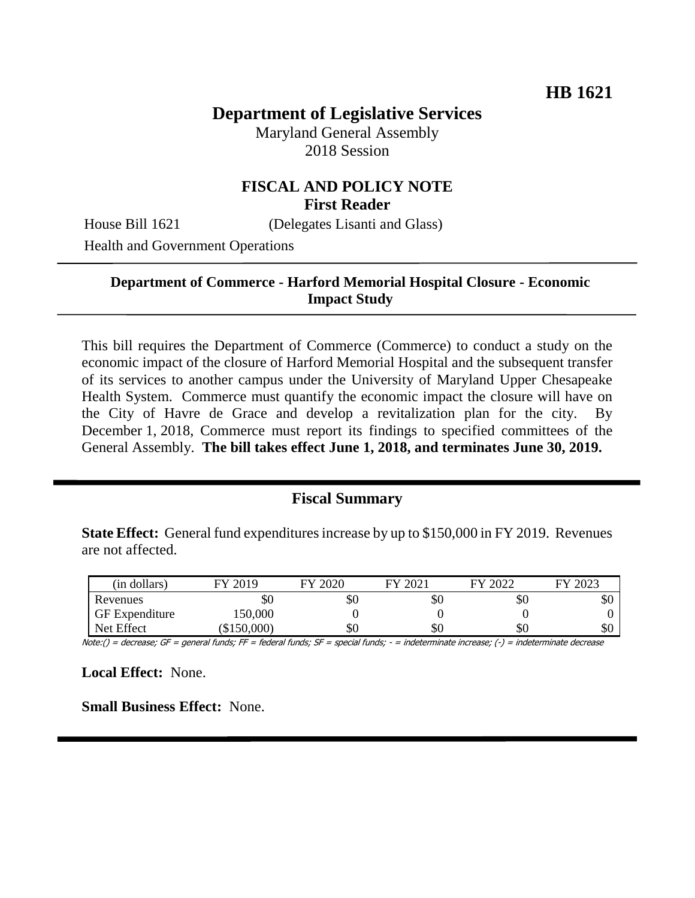# **Department of Legislative Services**

Maryland General Assembly 2018 Session

### **FISCAL AND POLICY NOTE First Reader**

House Bill 1621 (Delegates Lisanti and Glass)

Health and Government Operations

#### **Department of Commerce - Harford Memorial Hospital Closure - Economic Impact Study**

This bill requires the Department of Commerce (Commerce) to conduct a study on the economic impact of the closure of Harford Memorial Hospital and the subsequent transfer of its services to another campus under the University of Maryland Upper Chesapeake Health System. Commerce must quantify the economic impact the closure will have on the City of Havre de Grace and develop a revitalization plan for the city. By December 1, 2018, Commerce must report its findings to specified committees of the General Assembly. **The bill takes effect June 1, 2018, and terminates June 30, 2019.**

#### **Fiscal Summary**

**State Effect:** General fund expenditures increase by up to \$150,000 in FY 2019. Revenues are not affected.

| (in dollars)          | FY 2019     | 2020<br>ГV | FY 2021 | FY 2022 | 2023<br>FУ |
|-----------------------|-------------|------------|---------|---------|------------|
| Revenues              | ъU          | \$0        | 30.     | \$0     | \$0        |
| <b>GF</b> Expenditure | 150,000     |            |         |         |            |
| Net Effect            | (\$150,000) | \$0        | 50.     | \$0     | \$0        |

Note:() = decrease; GF = general funds; FF = federal funds; SF = special funds; - = indeterminate increase; (-) = indeterminate decrease

**Local Effect:** None.

**Small Business Effect:** None.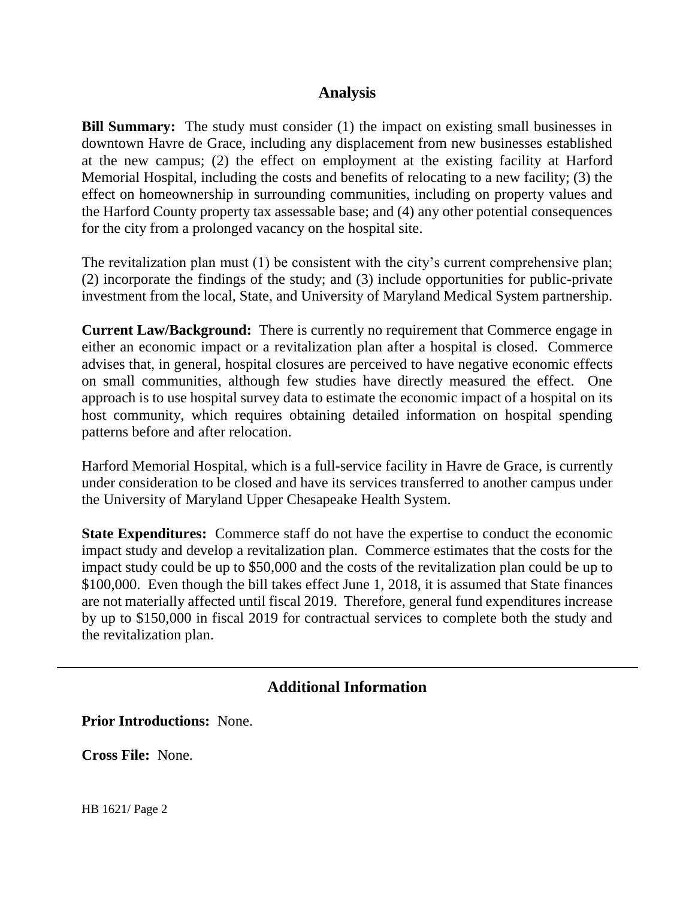### **Analysis**

**Bill Summary:** The study must consider (1) the impact on existing small businesses in downtown Havre de Grace, including any displacement from new businesses established at the new campus; (2) the effect on employment at the existing facility at Harford Memorial Hospital, including the costs and benefits of relocating to a new facility; (3) the effect on homeownership in surrounding communities, including on property values and the Harford County property tax assessable base; and (4) any other potential consequences for the city from a prolonged vacancy on the hospital site.

The revitalization plan must (1) be consistent with the city's current comprehensive plan; (2) incorporate the findings of the study; and (3) include opportunities for public-private investment from the local, State, and University of Maryland Medical System partnership.

**Current Law/Background:** There is currently no requirement that Commerce engage in either an economic impact or a revitalization plan after a hospital is closed. Commerce advises that, in general, hospital closures are perceived to have negative economic effects on small communities, although few studies have directly measured the effect. One approach is to use hospital survey data to estimate the economic impact of a hospital on its host community, which requires obtaining detailed information on hospital spending patterns before and after relocation.

Harford Memorial Hospital, which is a full-service facility in Havre de Grace, is currently under consideration to be closed and have its services transferred to another campus under the University of Maryland Upper Chesapeake Health System.

**State Expenditures:** Commerce staff do not have the expertise to conduct the economic impact study and develop a revitalization plan. Commerce estimates that the costs for the impact study could be up to \$50,000 and the costs of the revitalization plan could be up to \$100,000. Even though the bill takes effect June 1, 2018, it is assumed that State finances are not materially affected until fiscal 2019. Therefore, general fund expenditures increase by up to \$150,000 in fiscal 2019 for contractual services to complete both the study and the revitalization plan.

## **Additional Information**

**Prior Introductions:** None.

**Cross File:** None.